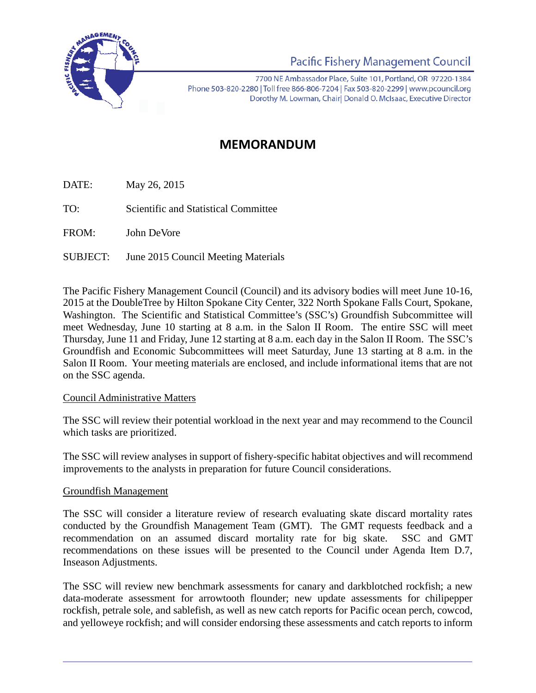

Pacific Fishery Management Council

7700 NE Ambassador Place, Suite 101, Portland, OR 97220-1384 Phone 503-820-2280 | Toll free 866-806-7204 | Fax 503-820-2299 | www.pcouncil.org Dorothy M. Lowman, Chairl Donald O. McIsaac, Executive Director

# **MEMORANDUM**

DATE: May 26, 2015

TO: Scientific and Statistical Committee

FROM: John DeVore

SUBJECT: June 2015 Council Meeting Materials

The Pacific Fishery Management Council (Council) and its advisory bodies will meet June 10-16, 2015 at the DoubleTree by Hilton Spokane City Center, 322 North Spokane Falls Court, Spokane, Washington. The Scientific and Statistical Committee's (SSC's) Groundfish Subcommittee will meet Wednesday, June 10 starting at 8 a.m. in the Salon II Room. The entire SSC will meet Thursday, June 11 and Friday, June 12 starting at 8 a.m. each day in the Salon II Room. The SSC's Groundfish and Economic Subcommittees will meet Saturday, June 13 starting at 8 a.m. in the Salon II Room. Your meeting materials are enclosed, and include informational items that are not on the SSC agenda.

### Council Administrative Matters

The SSC will review their potential workload in the next year and may recommend to the Council which tasks are prioritized.

The SSC will review analyses in support of fishery-specific habitat objectives and will recommend improvements to the analysts in preparation for future Council considerations.

### Groundfish Management

The SSC will consider a literature review of research evaluating skate discard mortality rates conducted by the Groundfish Management Team (GMT). The GMT requests feedback and a recommendation on an assumed discard mortality rate for big skate. SSC and GMT recommendations on these issues will be presented to the Council under Agenda Item D.7, Inseason Adjustments.

The SSC will review new benchmark assessments for canary and darkblotched rockfish; a new data-moderate assessment for arrowtooth flounder; new update assessments for chilipepper rockfish, petrale sole, and sablefish, as well as new catch reports for Pacific ocean perch, cowcod, and yelloweye rockfish; and will consider endorsing these assessments and catch reports to inform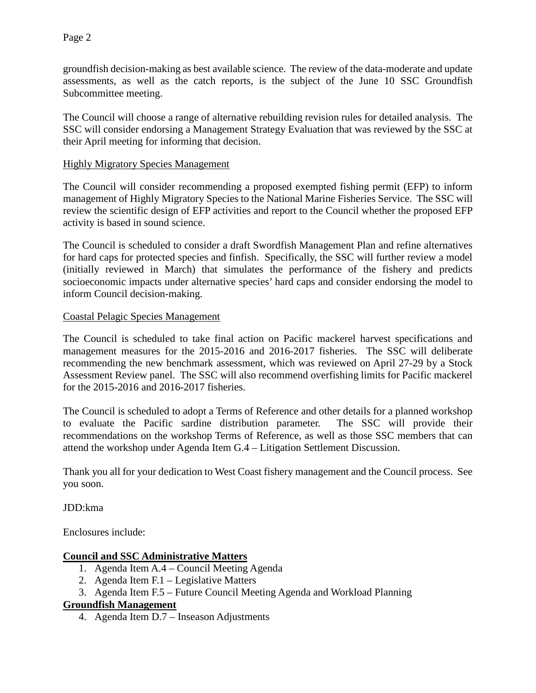groundfish decision-making as best available science. The review of the data-moderate and update assessments, as well as the catch reports, is the subject of the June 10 SSC Groundfish Subcommittee meeting.

The Council will choose a range of alternative rebuilding revision rules for detailed analysis. The SSC will consider endorsing a Management Strategy Evaluation that was reviewed by the SSC at their April meeting for informing that decision.

#### Highly Migratory Species Management

The Council will consider recommending a proposed exempted fishing permit (EFP) to inform management of Highly Migratory Species to the National Marine Fisheries Service. The SSC will review the scientific design of EFP activities and report to the Council whether the proposed EFP activity is based in sound science.

The Council is scheduled to consider a draft Swordfish Management Plan and refine alternatives for hard caps for protected species and finfish. Specifically, the SSC will further review a model (initially reviewed in March) that simulates the performance of the fishery and predicts socioeconomic impacts under alternative species' hard caps and consider endorsing the model to inform Council decision-making.

#### Coastal Pelagic Species Management

The Council is scheduled to take final action on Pacific mackerel harvest specifications and management measures for the 2015-2016 and 2016-2017 fisheries. The SSC will deliberate recommending the new benchmark assessment, which was reviewed on April 27-29 by a Stock Assessment Review panel. The SSC will also recommend overfishing limits for Pacific mackerel for the 2015-2016 and 2016-2017 fisheries.

The Council is scheduled to adopt a Terms of Reference and other details for a planned workshop to evaluate the Pacific sardine distribution parameter. The SSC will provide their recommendations on the workshop Terms of Reference, as well as those SSC members that can attend the workshop under Agenda Item G.4 – Litigation Settlement Discussion.

Thank you all for your dedication to West Coast fishery management and the Council process. See you soon.

JDD:kma

Enclosures include:

### **Council and SSC Administrative Matters**

- 1. Agenda Item A.4 Council Meeting Agenda
- 2. Agenda Item F.1 Legislative Matters
- 3. Agenda Item F.5 Future Council Meeting Agenda and Workload Planning

### **Groundfish Management**

4. Agenda Item D.7 – Inseason Adjustments